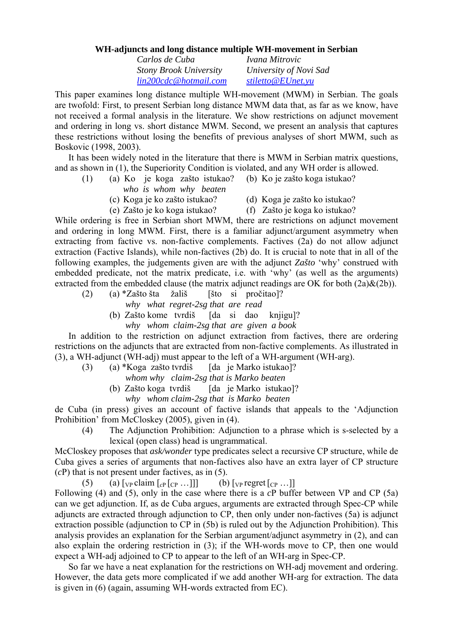## **WH-adjuncts and long distance multiple WH-movement in Serbian**

*Carlos de Cuba Ivana Mitrovic Stony Brook University University of Novi Sad [lin200cdc@hotmail.com](mailto:lin200cdc@hotmail.com) [stiletto@EUnet.yu](mailto:stiletto@EUnet.yu)* 

This paper examines long distance multiple WH-movement (MWM) in Serbian. The goals are twofold: First, to present Serbian long distance MWM data that, as far as we know, have not received a formal analysis in the literature. We show restrictions on adjunct movement and ordering in long vs. short distance MWM. Second, we present an analysis that captures these restrictions without losing the benefits of previous analyses of short MWM, such as Boskovic (1998, 2003).

It has been widely noted in the literature that there is MWM in Serbian matrix questions, and as shown in (1), the Superiority Condition is violated, and any WH order is allowed.

- (1) (a) Ko je koga zašto istukao? (b) Ko je zašto koga istukao? *who is whom why beaten* 
	-
	- (c) Koga je ko zašto istukao? (d) Koga je zašto ko istukao?
	- (e) Zašto je ko koga istukao? (f) Zašto je koga ko istukao?

While ordering is free in Serbian short MWM, there are restrictions on adjunct movement and ordering in long MWM. First, there is a familiar adjunct/argument asymmetry when extracting from factive vs. non-factive complements. Factives (2a) do not allow adjunct extraction (Factive Islands), while non-factives (2b) do. It is crucial to note that in all of the following examples, the judgements given are with the adjunct *Zašto* 'why' construed with embedded predicate, not the matrix predicate, i.e. with 'why' (as well as the arguments) extracted from the embedded clause (the matrix adjunct readings are OK for both  $(2a)\&(2b)$ ).

(2) (a) \*Zašto šta žališ [što si pročitao]? *why what regret-2sg that are read*  (b) Zašto kome tvrdiš [da si dao knjigu]?

*why whom claim-2sg that are given a book* 

In addition to the restriction on adjunct extraction from factives, there are ordering restrictions on the adjuncts that are extracted from non-factive complements. As illustrated in (3), a WH-adjunct (WH-adj) must appear to the left of a WH-argument (WH-arg).

(3) (a) \*Koga zašto tvrdiš [da je Marko istukao]?

*whom why claim-2sg that is Marko beaten* 

(b) Zašto koga tvrdiš [da je Marko istukao]? *why whom claim-2sg that is Marko beaten* 

de Cuba (in press) gives an account of factive islands that appeals to the 'Adjunction Prohibition' from McCloskey (2005), given in (4).

(4) The Adjunction Prohibition: Adjunction to a phrase which is s-selected by a lexical (open class) head is ungrammatical.

McCloskey proposes that *ask/wonder* type predicates select a recursive CP structure, while de Cuba gives a series of arguments that non-factives also have an extra layer of CP structure (*c*P) that is not present under factives, as in (5).

(5) (a)  $\lceil \frac{\text{Vp}}{\text{Vp}} \text{claim} \rceil_{\text{CP}} \rceil_{\text{CP}} \dots \rceil \rceil$  (b)  $\lceil \frac{\text{Vp}}{\text{Vp}} \text{regret} \rceil_{\text{CP}} \dots \rceil$ 

Following (4) and (5), only in the case where there is a *c*P buffer between VP and CP (5a) can we get adjunction. If, as de Cuba argues, arguments are extracted through Spec-CP while adjuncts are extracted through adjunction to CP, then only under non-factives (5a) is adjunct extraction possible (adjunction to CP in (5b) is ruled out by the Adjunction Prohibition). This analysis provides an explanation for the Serbian argument/adjunct asymmetry in (2), and can also explain the ordering restriction in (3); if the WH-words move to CP, then one would expect a WH-adj adjoined to CP to appear to the left of an WH-arg in Spec-CP.

So far we have a neat explanation for the restrictions on WH-adj movement and ordering. However, the data gets more complicated if we add another WH-arg for extraction. The data is given in (6) (again, assuming WH-words extracted from EC).